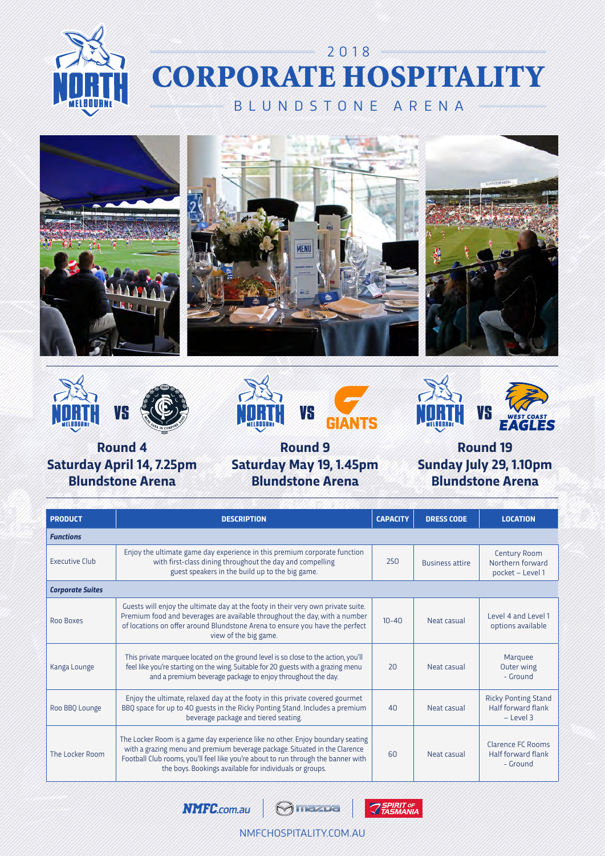











**Round 4 Saturday April 14, 7.25pm Blundstone Arena**

**Round 9 Saturday May 19, 1.45pm Blundstone Arena**

**Round 19 Sunday July 29, 1.10pm Blundstone Arena**

| <b>PRODUCT</b>          | <b>DESCRIPTION</b>                                                                                                                                                                                                                                                                                           |           | <b>DRESS CODE</b>      | <b>LOCATION</b>                                                 |
|-------------------------|--------------------------------------------------------------------------------------------------------------------------------------------------------------------------------------------------------------------------------------------------------------------------------------------------------------|-----------|------------------------|-----------------------------------------------------------------|
| <b>Functions</b>        |                                                                                                                                                                                                                                                                                                              |           |                        |                                                                 |
| <b>Executive Club</b>   | Enjoy the ultimate game day experience in this premium corporate function<br>250<br>with first-class dining throughout the day and compelling<br>guest speakers in the build up to the big game.                                                                                                             |           | <b>Business attire</b> | Century Room<br>Northern forward<br>pocket - Level 1            |
| <b>Corporate Suites</b> |                                                                                                                                                                                                                                                                                                              |           |                        |                                                                 |
| Roo Boxes               | Guests will enjoy the ultimate day at the footy in their very own private suite.<br>Premium food and beverages are available throughout the day, with a number<br>of locations on offer around Blundstone Arena to ensure you have the perfect<br>view of the big game.                                      | $10 - 40$ | Neat casual            | Level 4 and Level 1<br>options available                        |
| Kanga Lounge            | This private marquee located on the ground level is so close to the action, you'll<br>feel like you're starting on the wing. Suitable for 20 guests with a grazing menu<br>and a premium beverage package to enjoy throughout the day.                                                                       | 20        | Neat casual            | Marquee<br>Outer wing<br>- Ground                               |
| Roo BBQ Lounge          | Enjoy the ultimate, relaxed day at the footy in this private covered gourmet<br>BBQ space for up to 40 guests in the Ricky Ponting Stand. Includes a premium<br>beverage package and tiered seating.                                                                                                         | 40        | Neat casual            | <b>Ricky Ponting Stand</b><br>Half forward flank<br>$-$ Level 3 |
| The Locker Room         | The Locker Room is a game day experience like no other. Enjoy boundary seating<br>with a grazing menu and premium beverage package. Situated in the Clarence<br>Football Club rooms, you'll feel like you're about to run through the banner with<br>the boys. Bookings available for individuals or groups. | 60        | Neat casual            | Clarence FC Rooms<br>Half forward flank<br>- Ground             |

**NMFC.com.au Omazoa** 



NMFCHOSPITALITY.COM.AU